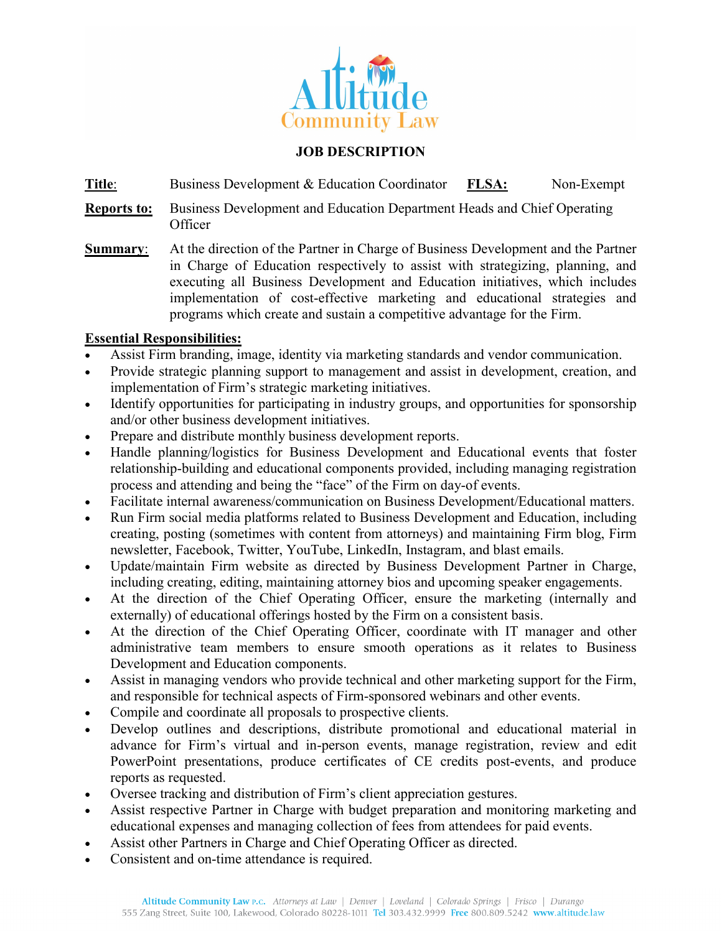

#### **JOB DESCRIPTION**

**Title**: Business Development & Education Coordinator **FLSA:** Non-Exempt

- **Reports to:** Business Development and Education Department Heads and Chief Operating Officer
- **Summary**: At the direction of the Partner in Charge of Business Development and the Partner in Charge of Education respectively to assist with strategizing, planning, and executing all Business Development and Education initiatives, which includes implementation of cost-effective marketing and educational strategies and programs which create and sustain a competitive advantage for the Firm.

#### **Essential Responsibilities:**

- Assist Firm branding, image, identity via marketing standards and vendor communication.
- Provide strategic planning support to management and assist in development, creation, and implementation of Firm's strategic marketing initiatives.
- Identify opportunities for participating in industry groups, and opportunities for sponsorship and/or other business development initiatives.
- Prepare and distribute monthly business development reports.
- Handle planning/logistics for Business Development and Educational events that foster relationship-building and educational components provided, including managing registration process and attending and being the "face" of the Firm on day-of events.
- Facilitate internal awareness/communication on Business Development/Educational matters.
- Run Firm social media platforms related to Business Development and Education, including creating, posting (sometimes with content from attorneys) and maintaining Firm blog, Firm newsletter, Facebook, Twitter, YouTube, LinkedIn, Instagram, and blast emails.
- Update/maintain Firm website as directed by Business Development Partner in Charge, including creating, editing, maintaining attorney bios and upcoming speaker engagements.
- At the direction of the Chief Operating Officer, ensure the marketing (internally and externally) of educational offerings hosted by the Firm on a consistent basis.
- At the direction of the Chief Operating Officer, coordinate with IT manager and other administrative team members to ensure smooth operations as it relates to Business Development and Education components.
- Assist in managing vendors who provide technical and other marketing support for the Firm, and responsible for technical aspects of Firm-sponsored webinars and other events.
- Compile and coordinate all proposals to prospective clients.
- Develop outlines and descriptions, distribute promotional and educational material in advance for Firm's virtual and in-person events, manage registration, review and edit PowerPoint presentations, produce certificates of CE credits post-events, and produce reports as requested.
- Oversee tracking and distribution of Firm's client appreciation gestures.
- Assist respective Partner in Charge with budget preparation and monitoring marketing and educational expenses and managing collection of fees from attendees for paid events.
- Assist other Partners in Charge and Chief Operating Officer as directed.
- Consistent and on-time attendance is required.